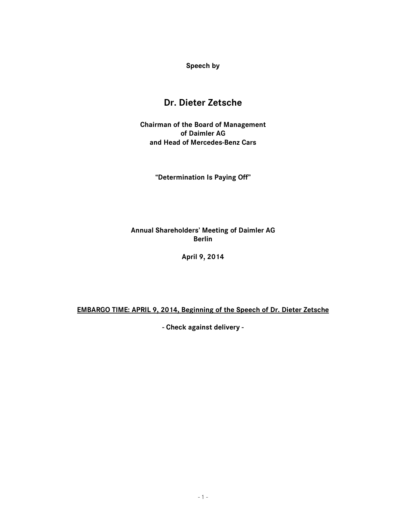**Speech by** 

# **Dr. Dieter Zetsche**

**Chairman of the Board of Management of Daimler AG and Head of Mercedes-Benz Cars** 

**"Determination Is Paying Off"** 

**Annual Shareholders' Meeting of Daimler AG Berlin** 

**April 9, 2014** 

**EMBARGO TIME: APRIL 9, 2014, Beginning of the Speech of Dr. Dieter Zetsche** 

**- Check against delivery -**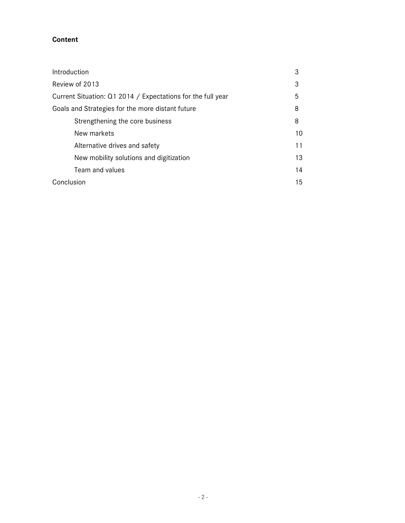# **Content**

| Introduction                                                | 3  |
|-------------------------------------------------------------|----|
| Review of 2013                                              | 3  |
| Current Situation: Q1 2014 / Expectations for the full year | 5  |
| Goals and Strategies for the more distant future            | 8  |
| Strengthening the core business                             | 8  |
| New markets                                                 | 10 |
| Alternative drives and safety                               | 11 |
| New mobility solutions and digitization                     | 13 |
| Team and values                                             | 14 |
| Conclusion                                                  | 15 |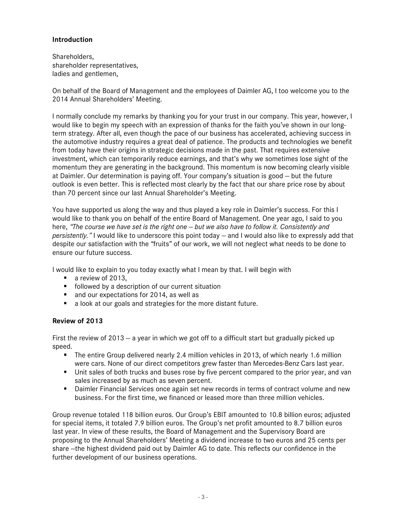## **Introduction**

Shareholders, shareholder representatives, ladies and gentlemen,

On behalf of the Board of Management and the employees of Daimler AG, I too welcome you to the 2014 Annual Shareholders' Meeting.

I normally conclude my remarks by thanking you for your trust in our company. This year, however, I would like to begin my speech with an expression of thanks for the faith you've shown in our longterm strategy. After all, even though the pace of our business has accelerated, achieving success in the automotive industry requires a great deal of patience. The products and technologies we benefit from today have their origins in strategic decisions made in the past. That requires extensive investment, which can temporarily reduce earnings, and that's why we sometimes lose sight of the momentum they are generating in the background. This momentum is now becoming clearly visible at Daimler. Our determination is paying off. Your company's situation is good — but the future outlook is even better. This is reflected most clearly by the fact that our share price rose by about than 70 percent since our last Annual Shareholder's Meeting.

You have supported us along the way and thus played a key role in Daimler's success. For this I would like to thank you on behalf of the entire Board of Management. One year ago, I said to you here, *"The course we have set is the right one — but we also have to follow it. Consistently and persistently."* I would like to underscore this point today — and I would also like to expressly add that despite our satisfaction with the "fruits" of our work, we will not neglect what needs to be done to ensure our future success.

I would like to explain to you today exactly what I mean by that. I will begin with

- a review of 2013.
- **F** followed by a description of our current situation
- and our expectations for 2014, as well as
- a look at our goals and strategies for the more distant future.

## **Review of 2013**

First the review of 2013 — a year in which we got off to a difficult start but gradually picked up speed.

- The entire Group delivered nearly 2.4 million vehicles in 2013, of which nearly 1.6 million were cars. None of our direct competitors grew faster than Mercedes-Benz Cars last year.
- **Unit sales of both trucks and buses rose by five percent compared to the prior year, and van** sales increased by as much as seven percent.
- **Daimler Financial Services once again set new records in terms of contract volume and new** business. For the first time, we financed or leased more than three million vehicles.

Group revenue totaled 118 billion euros. Our Group's EBIT amounted to 10.8 billion euros; adjusted for special items, it totaled 7.9 billion euros. The Group's net profit amounted to 8.7 billion euros last year. In view of these results, the Board of Management and the Supervisory Board are proposing to the Annual Shareholders' Meeting a dividend increase to two euros and 25 cents per share —the highest dividend paid out by Daimler AG to date. This reflects our confidence in the further development of our business operations.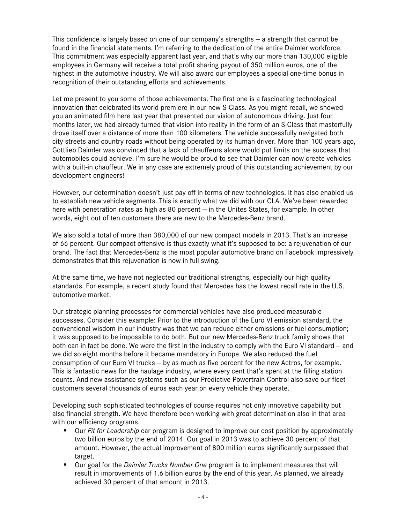This confidence is largely based on one of our company's strengths  $-$  a strength that cannot be found in the financial statements. I'm referring to the dedication of the entire Daimler workforce. This commitment was especially apparent last year, and that's why our more than 130,000 eligible employees in Germany will receive a total profit sharing payout of 350 million euros, one of the highest in the automotive industry. We will also award our employees a special one-time bonus in recognition of their outstanding efforts and achievements.

Let me present to you some of those achievements. The first one is a fascinating technological innovation that celebrated its world premiere in our new S-Class. As you might recall, we showed you an animated film here last year that presented our vision of autonomous driving. Just four months later, we had already turned that vision into reality in the form of an S-Class that masterfully drove itself over a distance of more than 100 kilometers. The vehicle successfully navigated both city streets and country roads without being operated by its human driver. More than 100 years ago, Gottlieb Daimler was convinced that a lack of chauffeurs alone would put limits on the success that automobiles could achieve. I'm sure he would be proud to see that Daimler can now create vehicles with a built-in chauffeur. We in any case are extremely proud of this outstanding achievement by our development engineers!

However, our determination doesn't just pay off in terms of new technologies. It has also enabled us to establish new vehicle segments. This is exactly what we did with our CLA. We've been rewarded here with penetration rates as high as 80 percent – in the Unites States, for example. In other words, eight out of ten customers there are new to the Mercedes-Benz brand.

We also sold a total of more than 380,000 of our new compact models in 2013. That's an increase of 66 percent. Our compact offensive is thus exactly what it's supposed to be: a rejuvenation of our brand. The fact that Mercedes-Benz is the most popular automotive brand on Facebook impressively demonstrates that this rejuvenation is now in full swing.

At the same time, we have not neglected our traditional strengths, especially our high quality standards. For example, a recent study found that Mercedes has the lowest recall rate in the U.S. automotive market.

Our strategic planning processes for commercial vehicles have also produced measurable successes. Consider this example: Prior to the introduction of the Euro VI emission standard, the conventional wisdom in our industry was that we can reduce either emissions or fuel consumption; it was supposed to be impossible to do both. But our new Mercedes-Benz truck family shows that both can in fact be done. We were the first in the industry to comply with the Euro VI standard — and we did so eight months before it became mandatory in Europe. We also reduced the fuel consumption of our Euro VI trucks — by as much as five percent for the new Actros, for example. This is fantastic news for the haulage industry, where every cent that's spent at the filling station counts. And new assistance systems such as our Predictive Powertrain Control also save our fleet customers several thousands of euros each year on every vehicle they operate.

Developing such sophisticated technologies of course requires not only innovative capability but also financial strength. We have therefore been working with great determination also in that area with our efficiency programs.

- Our *Fit for Leadership* car program is designed to improve our cost position by approximately two billion euros by the end of 2014. Our goal in 2013 was to achieve 30 percent of that amount. However, the actual improvement of 800 million euros significantly surpassed that target.
- Our goal for the *Daimler Trucks Number One* program is to implement measures that will result in improvements of 1.6 billion euros by the end of this year. As planned, we already achieved 30 percent of that amount in 2013.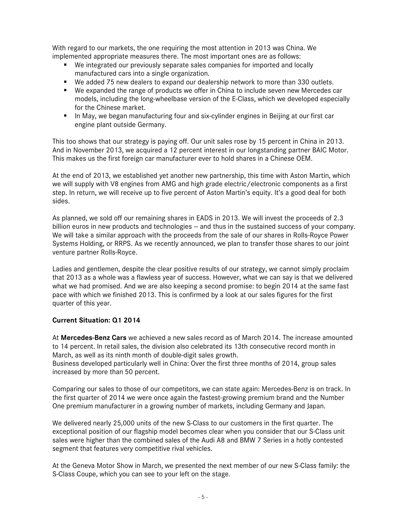With regard to our markets, the one requiring the most attention in 2013 was China. We implemented appropriate measures there. The most important ones are as follows:

- We integrated our previously separate sales companies for imported and locally manufactured cars into a single organization.
- We added 75 new dealers to expand our dealership network to more than 330 outlets.
- We expanded the range of products we offer in China to include seven new Mercedes car models, including the long-wheelbase version of the E-Class, which we developed especially for the Chinese market.
- **In May, we began manufacturing four and six-cylinder engines in Beijing at our first car** engine plant outside Germany.

This too shows that our strategy is paying off. Our unit sales rose by 15 percent in China in 2013. And in November 2013, we acquired a 12 percent interest in our longstanding partner BAIC Motor. This makes us the first foreign car manufacturer ever to hold shares in a Chinese OEM.

At the end of 2013, we established yet another new partnership, this time with Aston Martin, which we will supply with V8 engines from AMG and high grade electric/electronic components as a first step. In return, we will receive up to five percent of Aston Martin's equity. It's a good deal for both sides.

As planned, we sold off our remaining shares in EADS in 2013. We will invest the proceeds of 2.3 billion euros in new products and technologies — and thus in the sustained success of your company. We will take a similar approach with the proceeds from the sale of our shares in Rolls-Royce Power Systems Holding, or RRPS. As we recently announced, we plan to transfer those shares to our joint venture partner Rolls-Royce.

Ladies and gentlemen, despite the clear positive results of our strategy, we cannot simply proclaim that 2013 as a whole was a flawless year of success. However, what we can say is that we delivered what we had promised. And we are also keeping a second promise: to begin 2014 at the same fast pace with which we finished 2013. This is confirmed by a look at our sales figures for the first quarter of this year.

## **Current Situation: Q1 2014**

At **Mercedes-Benz Cars** we achieved a new sales record as of March 2014. The increase amounted to 14 percent. In retail sales, the division also celebrated its 13th consecutive record month in March, as well as its ninth month of double-digit sales growth.

Business developed particularly well in China: Over the first three months of 2014, group sales increased by more than 50 percent.

Comparing our sales to those of our competitors, we can state again: Mercedes-Benz is on track. In the first quarter of 2014 we were once again the fastest-growing premium brand and the Number One premium manufacturer in a growing number of markets, including Germany and Japan.

We delivered nearly 25,000 units of the new S-Class to our customers in the first quarter. The exceptional position of our flagship model becomes clear when you consider that our S-Class unit sales were higher than the combined sales of the Audi A8 and BMW 7 Series in a hotly contested segment that features very competitive rival vehicles.

At the Geneva Motor Show in March, we presented the next member of our new S-Class family: the S-Class Coupe, which you can see to your left on the stage.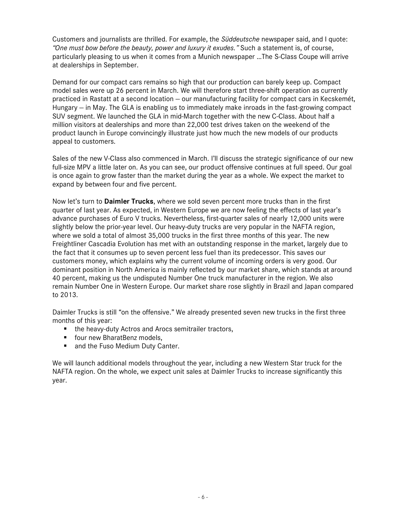Customers and journalists are thrilled. For example, the *Süddeutsche* newspaper said, and I quote: *"One must bow before the beauty, power and luxury it exudes."* Such a statement is, of course, particularly pleasing to us when it comes from a Munich newspaper …The S-Class Coupe will arrive at dealerships in September.

Demand for our compact cars remains so high that our production can barely keep up. Compact model sales were up 26 percent in March. We will therefore start three-shift operation as currently practiced in Rastatt at a second location — our manufacturing facility for compact cars in Kecskemét, Hungary — in May. The GLA is enabling us to immediately make inroads in the fast-growing compact SUV segment. We launched the GLA in mid-March together with the new C-Class. About half a million visitors at dealerships and more than 22,000 test drives taken on the weekend of the product launch in Europe convincingly illustrate just how much the new models of our products appeal to customers.

Sales of the new V-Class also commenced in March. I'll discuss the strategic significance of our new full-size MPV a little later on. As you can see, our product offensive continues at full speed. Our goal is once again to grow faster than the market during the year as a whole. We expect the market to expand by between four and five percent.

Now let's turn to **Daimler Trucks**, where we sold seven percent more trucks than in the first quarter of last year. As expected, in Western Europe we are now feeling the effects of last year's advance purchases of Euro V trucks. Nevertheless, first-quarter sales of nearly 12,000 units were slightly below the prior-year level. Our heavy-duty trucks are very popular in the NAFTA region, where we sold a total of almost 35,000 trucks in the first three months of this year. The new Freightliner Cascadia Evolution has met with an outstanding response in the market, largely due to the fact that it consumes up to seven percent less fuel than its predecessor. This saves our customers money, which explains why the current volume of incoming orders is very good. Our dominant position in North America is mainly reflected by our market share, which stands at around 40 percent, making us the undisputed Number One truck manufacturer in the region. We also remain Number One in Western Europe. Our market share rose slightly in Brazil and Japan compared to 2013.

Daimler Trucks is still "on the offensive." We already presented seven new trucks in the first three months of this year:

- **the heavy-duty Actros and Arocs semitrailer tractors,**
- **F** four new BharatBenz models,
- and the Fuso Medium Duty Canter.

We will launch additional models throughout the year, including a new Western Star truck for the NAFTA region. On the whole, we expect unit sales at Daimler Trucks to increase significantly this year.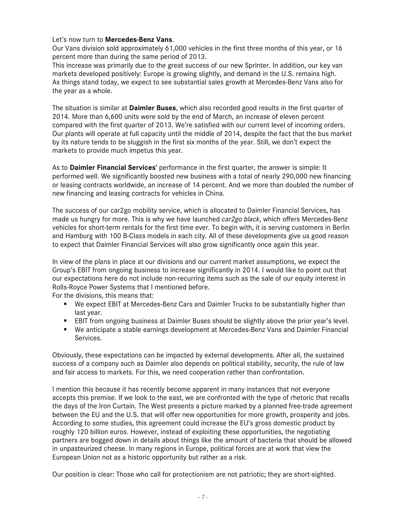#### Let's now turn to **Mercedes-Benz Vans**.

Our Vans division sold approximately 61,000 vehicles in the first three months of this year, or 16 percent more than during the same period of 2013.

This increase was primarily due to the great success of our new Sprinter. In addition, our key van markets developed positively: Europe is growing slightly, and demand in the U.S. remains high. As things stand today, we expect to see substantial sales growth at Mercedes-Benz Vans also for the year as a whole.

The situation is similar at **Daimler Buses**, which also recorded good results in the first quarter of 2014. More than 6,600 units were sold by the end of March, an increase of eleven percent compared with the first quarter of 2013. We're satisfied with our current level of incoming orders. Our plants will operate at full capacity until the middle of 2014, despite the fact that the bus market by its nature tends to be sluggish in the first six months of the year. Still, we don't expect the markets to provide much impetus this year.

As to **Daimler Financial Services'** performance in the first quarter, the answer is simple: It performed well. We significantly boosted new business with a total of nearly 290,000 new financing or leasing contracts worldwide, an increase of 14 percent. And we more than doubled the number of new financing and leasing contracts for vehicles in China.

The success of our car2go mobility service, which is allocated to Daimler Financial Services, has made us hungry for more. This is why we have launched *car2go black*, which offers Mercedes-Benz vehicles for short-term rentals for the first time ever. To begin with, it is serving customers in Berlin and Hamburg with 100 B-Class models in each city. All of these developments give us good reason to expect that Daimler Financial Services will also grow significantly once again this year.

In view of the plans in place at our divisions and our current market assumptions, we expect the Group's EBIT from ongoing business to increase significantly in 2014. I would like to point out that our expectations here do not include non-recurring items such as the sale of our equity interest in Rolls-Royce Power Systems that I mentioned before.

For the divisions, this means that:

- We expect EBIT at Mercedes-Benz Cars and Daimler Trucks to be substantially higher than last year.
- EBIT from ongoing business at Daimler Buses should be slightly above the prior year's level.
- We anticipate a stable earnings development at Mercedes-Benz Vans and Daimler Financial Services.

Obviously, these expectations can be impacted by external developments. After all, the sustained success of a company such as Daimler also depends on political stability, security, the rule of law and fair access to markets. For this, we need cooperation rather than confrontation.

I mention this because it has recently become apparent in many instances that not everyone accepts this premise. If we look to the east, we are confronted with the type of rhetoric that recalls the days of the Iron Curtain. The West presents a picture marked by a planned free-trade agreement between the EU and the U.S. that will offer new opportunities for more growth, prosperity and jobs. According to some studies, this agreement could increase the EU's gross domestic product by roughly 120 billion euros. However, instead of exploiting these opportunities, the negotiating partners are bogged down in details about things like the amount of bacteria that should be allowed in unpasteurized cheese. In many regions in Europe, political forces are at work that view the European Union not as a historic opportunity but rather as a risk.

Our position is clear: Those who call for protectionism are not patriotic; they are short-sighted.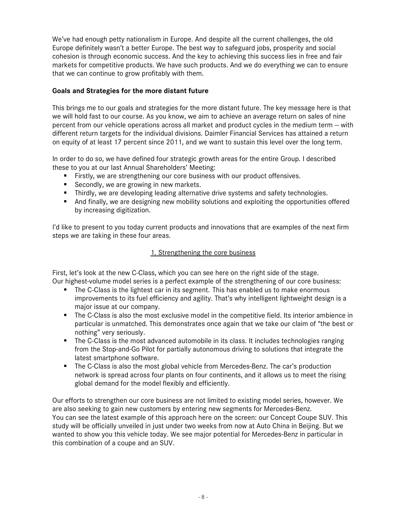We've had enough petty nationalism in Europe. And despite all the current challenges, the old Europe definitely wasn't a better Europe. The best way to safeguard jobs, prosperity and social cohesion is through economic success. And the key to achieving this success lies in free and fair markets for competitive products. We have such products. And we do everything we can to ensure that we can continue to grow profitably with them.

## **Goals and Strategies for the more distant future**

This brings me to our goals and strategies for the more distant future. The key message here is that we will hold fast to our course. As you know, we aim to achieve an average return on sales of nine percent from our vehicle operations across all market and product cycles in the medium term — with different return targets for the individual divisions. Daimler Financial Services has attained a return on equity of at least 17 percent since 2011, and we want to sustain this level over the long term.

In order to do so, we have defined four strategic growth areas for the entire Group. I described these to you at our last Annual Shareholders' Meeting:

- Firstly, we are strengthening our core business with our product offensives.
- Secondly, we are growing in new markets.
- **Thirdly, we are developing leading alternative drive systems and safety technologies.**
- And finally, we are designing new mobility solutions and exploiting the opportunities offered by increasing digitization.

I'd like to present to you today current products and innovations that are examples of the next firm steps we are taking in these four areas.

## 1. Strengthening the core business

First, let's look at the new C-Class, which you can see here on the right side of the stage. Our highest-volume model series is a perfect example of the strengthening of our core business:

- **The C-Class is the lightest car in its segment. This has enabled us to make enormous** improvements to its fuel efficiency and agility. That's why intelligent lightweight design is a major issue at our company.
- The C-Class is also the most exclusive model in the competitive field. Its interior ambience in particular is unmatched. This demonstrates once again that we take our claim of "the best or nothing" very seriously.
- **The C-Class is the most advanced automobile in its class. It includes technologies ranging** from the Stop-and-Go Pilot for partially autonomous driving to solutions that integrate the latest smartphone software.
- The C-Class is also the most global vehicle from Mercedes-Benz. The car's production network is spread across four plants on four continents, and it allows us to meet the rising global demand for the model flexibly and efficiently.

Our efforts to strengthen our core business are not limited to existing model series, however. We are also seeking to gain new customers by entering new segments for Mercedes-Benz. You can see the latest example of this approach here on the screen: our Concept Coupe SUV. This study will be officially unveiled in just under two weeks from now at Auto China in Beijing. But we wanted to show you this vehicle today. We see major potential for Mercedes-Benz in particular in this combination of a coupe and an SUV.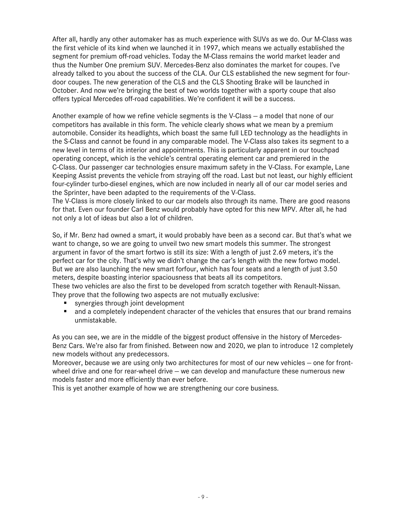After all, hardly any other automaker has as much experience with SUVs as we do. Our M-Class was the first vehicle of its kind when we launched it in 1997, which means we actually established the segment for premium off-road vehicles. Today the M-Class remains the world market leader and thus the Number One premium SUV. Mercedes-Benz also dominates the market for coupes. I've already talked to you about the success of the CLA. Our CLS established the new segment for fourdoor coupes. The new generation of the CLS and the CLS Shooting Brake will be launched in October. And now we're bringing the best of two worlds together with a sporty coupe that also offers typical Mercedes off-road capabilities. We're confident it will be a success.

Another example of how we refine vehicle segments is the V-Class — a model that none of our competitors has available in this form. The vehicle clearly shows what we mean by a premium automobile. Consider its headlights, which boast the same full LED technology as the headlights in the S-Class and cannot be found in any comparable model. The V-Class also takes its segment to a new level in terms of its interior and appointments. This is particularly apparent in our touchpad operating concept, which is the vehicle's central operating element car and premiered in the C-Class. Our passenger car technologies ensure maximum safety in the V-Class. For example, Lane Keeping Assist prevents the vehicle from straying off the road. Last but not least, our highly efficient four-cylinder turbo-diesel engines, which are now included in nearly all of our car model series and the Sprinter, have been adapted to the requirements of the V-Class.

The V-Class is more closely linked to our car models also through its name. There are good reasons for that. Even our founder Carl Benz would probably have opted for this new MPV. After all, he had not only a lot of ideas but also a lot of children.

So, if Mr. Benz had owned a smart, it would probably have been as a second car. But that's what we want to change, so we are going to unveil two new smart models this summer. The strongest argument in favor of the smart fortwo is still its size: With a length of just 2.69 meters, it's the perfect car for the city. That's why we didn't change the car's length with the new fortwo model. But we are also launching the new smart forfour, which has four seats and a length of just 3.50 meters, despite boasting interior spaciousness that beats all its competitors.

These two vehicles are also the first to be developed from scratch together with Renault-Nissan. They prove that the following two aspects are not mutually exclusive:

- synergies through joint development
- and a completely independent character of the vehicles that ensures that our brand remains unmistakable.

As you can see, we are in the middle of the biggest product offensive in the history of Mercedes-Benz Cars. We're also far from finished. Between now and 2020, we plan to introduce 12 completely new models without any predecessors.

Moreover, because we are using only two architectures for most of our new vehicles — one for frontwheel drive and one for rear-wheel drive — we can develop and manufacture these numerous new models faster and more efficiently than ever before.

This is yet another example of how we are strengthening our core business.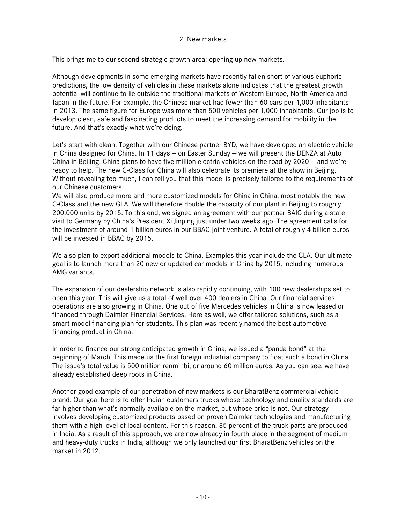## 2. New markets

This brings me to our second strategic growth area: opening up new markets.

Although developments in some emerging markets have recently fallen short of various euphoric predictions, the low density of vehicles in these markets alone indicates that the greatest growth potential will continue to lie outside the traditional markets of Western Europe, North America and Japan in the future. For example, the Chinese market had fewer than 60 cars per 1,000 inhabitants in 2013. The same figure for Europe was more than 500 vehicles per 1,000 inhabitants. Our job is to develop clean, safe and fascinating products to meet the increasing demand for mobility in the future. And that's exactly what we're doing.

Let's start with clean: Together with our Chinese partner BYD, we have developed an electric vehicle in China designed for China. In 11 days — on Easter Sunday — we will present the DENZA at Auto China in Beijing. China plans to have five million electric vehicles on the road by 2020 — and we're ready to help. The new C-Class for China will also celebrate its premiere at the show in Beijing. Without revealing too much, I can tell you that this model is precisely tailored to the requirements of our Chinese customers.

We will also produce more and more customized models for China in China, most notably the new C-Class and the new GLA. We will therefore double the capacity of our plant in Beijing to roughly 200,000 units by 2015. To this end, we signed an agreement with our partner BAIC during a state visit to Germany by China's President Xi Jinping just under two weeks ago. The agreement calls for the investment of around 1 billion euros in our BBAC joint venture. A total of roughly 4 billion euros will be invested in BBAC by 2015.

We also plan to export additional models to China. Examples this year include the CLA. Our ultimate goal is to launch more than 20 new or updated car models in China by 2015, including numerous AMG variants.

The expansion of our dealership network is also rapidly continuing, with 100 new dealerships set to open this year. This will give us a total of well over 400 dealers in China. Our financial services operations are also growing in China. One out of five Mercedes vehicles in China is now leased or financed through Daimler Financial Services. Here as well, we offer tailored solutions, such as a smart-model financing plan for students. This plan was recently named the best automotive financing product in China.

In order to finance our strong anticipated growth in China, we issued a "panda bond" at the beginning of March. This made us the first foreign industrial company to float such a bond in China. The issue's total value is 500 million renminbi, or around 60 million euros. As you can see, we have already established deep roots in China.

Another good example of our penetration of new markets is our BharatBenz commercial vehicle brand. Our goal here is to offer Indian customers trucks whose technology and quality standards are far higher than what's normally available on the market, but whose price is not. Our strategy involves developing customized products based on proven Daimler technologies and manufacturing them with a high level of local content. For this reason, 85 percent of the truck parts are produced in India. As a result of this approach, we are now already in fourth place in the segment of medium and heavy-duty trucks in India, although we only launched our first BharatBenz vehicles on the market in 2012.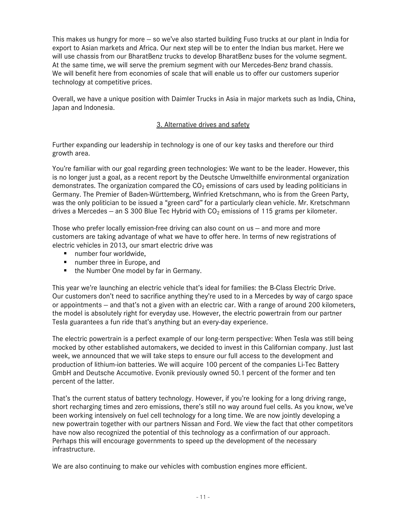This makes us hungry for more — so we've also started building Fuso trucks at our plant in India for export to Asian markets and Africa. Our next step will be to enter the Indian bus market. Here we will use chassis from our BharatBenz trucks to develop BharatBenz buses for the volume segment. At the same time, we will serve the premium segment with our Mercedes-Benz brand chassis. We will benefit here from economies of scale that will enable us to offer our customers superior technology at competitive prices.

Overall, we have a unique position with Daimler Trucks in Asia in major markets such as India, China, Japan and Indonesia.

#### 3. Alternative drives and safety

Further expanding our leadership in technology is one of our key tasks and therefore our third growth area.

You're familiar with our goal regarding green technologies: We want to be the leader. However, this is no longer just a goal, as a recent report by the Deutsche Umwelthilfe environmental organization demonstrates. The organization compared the  $CO<sub>2</sub>$  emissions of cars used by leading politicians in Germany. The Premier of Baden-Württemberg, Winfried Kretschmann, who is from the Green Party, was the only politician to be issued a "green card" for a particularly clean vehicle. Mr. Kretschmann drives a Mercedes – an S 300 Blue Tec Hybrid with  $CO<sub>2</sub>$  emissions of 115 grams per kilometer.

Those who prefer locally emission-free driving can also count on us — and more and more customers are taking advantage of what we have to offer here. In terms of new registrations of electric vehicles in 2013, our smart electric drive was

- number four worldwide.
- number three in Europe, and
- the Number One model by far in Germany.

This year we're launching an electric vehicle that's ideal for families: the B-Class Electric Drive. Our customers don't need to sacrifice anything they're used to in a Mercedes by way of cargo space or appointments — and that's not a given with an electric car. With a range of around 200 kilometers, the model is absolutely right for everyday use. However, the electric powertrain from our partner Tesla guarantees a fun ride that's anything but an every-day experience.

The electric powertrain is a perfect example of our long-term perspective: When Tesla was still being mocked by other established automakers, we decided to invest in this Californian company. Just last week, we announced that we will take steps to ensure our full access to the development and production of lithium-ion batteries. We will acquire 100 percent of the companies Li-Tec Battery GmbH and Deutsche Accumotive. Evonik previously owned 50.1 percent of the former and ten percent of the latter.

That's the current status of battery technology. However, if you're looking for a long driving range, short recharging times and zero emissions, there's still no way around fuel cells. As you know, we've been working intensively on fuel cell technology for a long time. We are now jointly developing a new powertrain together with our partners Nissan and Ford. We view the fact that other competitors have now also recognized the potential of this technology as a confirmation of our approach. Perhaps this will encourage governments to speed up the development of the necessary infrastructure.

We are also continuing to make our vehicles with combustion engines more efficient.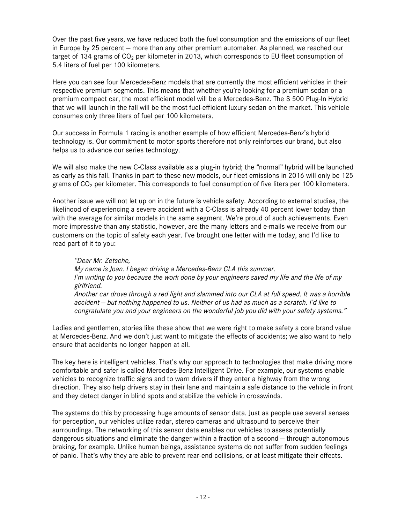Over the past five years, we have reduced both the fuel consumption and the emissions of our fleet in Europe by 25 percent — more than any other premium automaker. As planned, we reached our target of 134 grams of  $CO<sub>2</sub>$  per kilometer in 2013, which corresponds to EU fleet consumption of 5.4 liters of fuel per 100 kilometers.

Here you can see four Mercedes-Benz models that are currently the most efficient vehicles in their respective premium segments. This means that whether you're looking for a premium sedan or a premium compact car, the most efficient model will be a Mercedes-Benz. The S 500 Plug-In Hybrid that we will launch in the fall will be the most fuel-efficient luxury sedan on the market. This vehicle consumes only three liters of fuel per 100 kilometers.

Our success in Formula 1 racing is another example of how efficient Mercedes-Benz's hybrid technology is. Our commitment to motor sports therefore not only reinforces our brand, but also helps us to advance our series technology.

We will also make the new C-Class available as a plug-in hybrid; the "normal" hybrid will be launched as early as this fall. Thanks in part to these new models, our fleet emissions in 2016 will only be 125 grams of  $CO<sub>2</sub>$  per kilometer. This corresponds to fuel consumption of five liters per 100 kilometers.

Another issue we will not let up on in the future is vehicle safety. According to external studies, the likelihood of experiencing a severe accident with a C-Class is already 40 percent lower today than with the average for similar models in the same segment. We're proud of such achievements. Even more impressive than any statistic, however, are the many letters and e-mails we receive from our customers on the topic of safety each year. I've brought one letter with me today, and I'd like to read part of it to you:

*"Dear Mr. Zetsche, My name is Joan. I began driving a Mercedes-Benz CLA this summer. I'm writing to you because the work done by your engineers saved my life and the life of my girlfriend. Another car drove through a red light and slammed into our CLA at full speed. It was a horrible accident — but nothing happened to us. Neither of us had as much as a scratch. I'd like to congratulate you and your engineers on the wonderful job you did with your safety systems."*

Ladies and gentlemen, stories like these show that we were right to make safety a core brand value at Mercedes-Benz. And we don't just want to mitigate the effects of accidents; we also want to help ensure that accidents no longer happen at all.

The key here is intelligent vehicles. That's why our approach to technologies that make driving more comfortable and safer is called Mercedes-Benz Intelligent Drive. For example, our systems enable vehicles to recognize traffic signs and to warn drivers if they enter a highway from the wrong direction. They also help drivers stay in their lane and maintain a safe distance to the vehicle in front and they detect danger in blind spots and stabilize the vehicle in crosswinds.

The systems do this by processing huge amounts of sensor data. Just as people use several senses for perception, our vehicles utilize radar, stereo cameras and ultrasound to perceive their surroundings. The networking of this sensor data enables our vehicles to assess potentially dangerous situations and eliminate the danger within a fraction of a second — through autonomous braking, for example. Unlike human beings, assistance systems do not suffer from sudden feelings of panic. That's why they are able to prevent rear-end collisions, or at least mitigate their effects.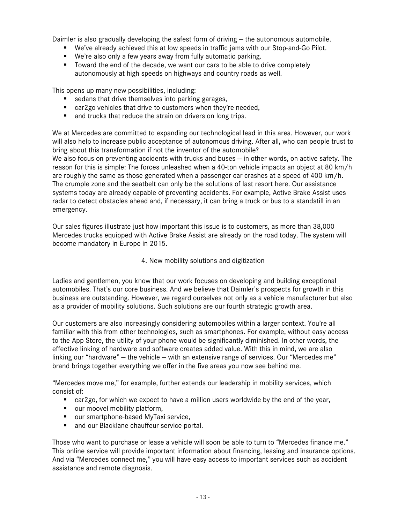Daimler is also gradually developing the safest form of driving — the autonomous automobile.

- We've already achieved this at low speeds in traffic jams with our Stop-and-Go Pilot.
- We're also only a few years away from fully automatic parking.
- Toward the end of the decade, we want our cars to be able to drive completely autonomously at high speeds on highways and country roads as well.

This opens up many new possibilities, including:

- sedans that drive themselves into parking garages,
- car2go vehicles that drive to customers when they're needed,
- **and trucks that reduce the strain on drivers on long trips.**

We at Mercedes are committed to expanding our technological lead in this area. However, our work will also help to increase public acceptance of autonomous driving. After all, who can people trust to bring about this transformation if not the inventor of the automobile?

We also focus on preventing accidents with trucks and buses – in other words, on active safety. The reason for this is simple: The forces unleashed when a 40-ton vehicle impacts an object at 80 km/h are roughly the same as those generated when a passenger car crashes at a speed of 400 km/h. The crumple zone and the seatbelt can only be the solutions of last resort here. Our assistance systems today are already capable of preventing accidents. For example, Active Brake Assist uses radar to detect obstacles ahead and, if necessary, it can bring a truck or bus to a standstill in an emergency.

Our sales figures illustrate just how important this issue is to customers, as more than 38,000 Mercedes trucks equipped with Active Brake Assist are already on the road today. The system will become mandatory in Europe in 2015.

#### 4. New mobility solutions and digitization

Ladies and gentlemen, you know that our work focuses on developing and building exceptional automobiles. That's our core business. And we believe that Daimler's prospects for growth in this business are outstanding. However, we regard ourselves not only as a vehicle manufacturer but also as a provider of mobility solutions. Such solutions are our fourth strategic growth area.

Our customers are also increasingly considering automobiles within a larger context. You're all familiar with this from other technologies, such as smartphones. For example, without easy access to the App Store, the utility of your phone would be significantly diminished. In other words, the effective linking of hardware and software creates added value. With this in mind, we are also linking our "hardware" — the vehicle — with an extensive range of services. Our "Mercedes me" brand brings together everything we offer in the five areas you now see behind me.

"Mercedes move me," for example, further extends our leadership in mobility services, which consist of:

- car2go, for which we expect to have a million users worldwide by the end of the year,
- our moovel mobility platform,
- our smartphone-based MyTaxi service,
- **and our Blacklane chauffeur service portal.**

Those who want to purchase or lease a vehicle will soon be able to turn to "Mercedes finance me." This online service will provide important information about financing, leasing and insurance options. And via "Mercedes connect me," you will have easy access to important services such as accident assistance and remote diagnosis.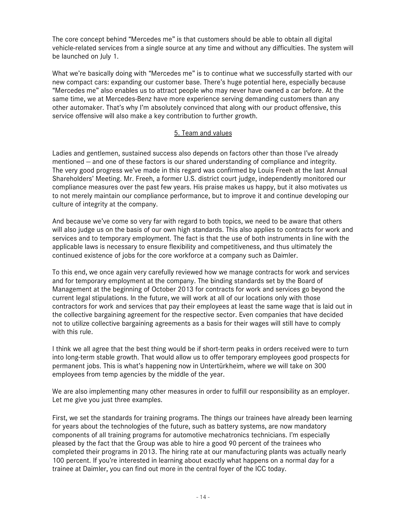The core concept behind "Mercedes me" is that customers should be able to obtain all digital vehicle-related services from a single source at any time and without any difficulties. The system will be launched on July 1.

What we're basically doing with "Mercedes me" is to continue what we successfully started with our new compact cars: expanding our customer base. There's huge potential here, especially because "Mercedes me" also enables us to attract people who may never have owned a car before. At the same time, we at Mercedes-Benz have more experience serving demanding customers than any other automaker. That's why I'm absolutely convinced that along with our product offensive, this service offensive will also make a key contribution to further growth.

## 5. Team and values

Ladies and gentlemen, sustained success also depends on factors other than those I've already mentioned — and one of these factors is our shared understanding of compliance and integrity. The very good progress we've made in this regard was confirmed by Louis Freeh at the last Annual Shareholders' Meeting. Mr. Freeh, a former U.S. district court judge, independently monitored our compliance measures over the past few years. His praise makes us happy, but it also motivates us to not merely maintain our compliance performance, but to improve it and continue developing our culture of integrity at the company.

And because we've come so very far with regard to both topics, we need to be aware that others will also judge us on the basis of our own high standards. This also applies to contracts for work and services and to temporary employment. The fact is that the use of both instruments in line with the applicable laws is necessary to ensure flexibility and competitiveness, and thus ultimately the continued existence of jobs for the core workforce at a company such as Daimler.

To this end, we once again very carefully reviewed how we manage contracts for work and services and for temporary employment at the company. The binding standards set by the Board of Management at the beginning of October 2013 for contracts for work and services go beyond the current legal stipulations. In the future, we will work at all of our locations only with those contractors for work and services that pay their employees at least the same wage that is laid out in the collective bargaining agreement for the respective sector. Even companies that have decided not to utilize collective bargaining agreements as a basis for their wages will still have to comply with this rule.

I think we all agree that the best thing would be if short-term peaks in orders received were to turn into long-term stable growth. That would allow us to offer temporary employees good prospects for permanent jobs. This is what's happening now in Untertürkheim, where we will take on 300 employees from temp agencies by the middle of the year.

We are also implementing many other measures in order to fulfill our responsibility as an employer. Let me give you just three examples.

First, we set the standards for training programs. The things our trainees have already been learning for years about the technologies of the future, such as battery systems, are now mandatory components of all training programs for automotive mechatronics technicians. I'm especially pleased by the fact that the Group was able to hire a good 90 percent of the trainees who completed their programs in 2013. The hiring rate at our manufacturing plants was actually nearly 100 percent. If you're interested in learning about exactly what happens on a normal day for a trainee at Daimler, you can find out more in the central foyer of the ICC today.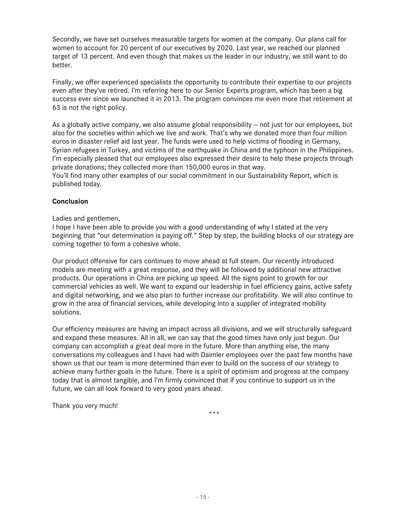Secondly, we have set ourselves measurable targets for women at the company. Our plans call for women to account for 20 percent of our executives by 2020. Last year, we reached our planned target of 13 percent. And even though that makes us the leader in our industry, we still want to do better.

Finally, we offer experienced specialists the opportunity to contribute their expertise to our projects even after they've retired. I'm referring here to our Senior Experts program, which has been a big success ever since we launched it in 2013. The program convinces me even more that retirement at 63 is not the right policy.

As a globally active company, we also assume global responsibility — not just for our employees, but also for the societies within which we live and work. That's why we donated more than four million euros in disaster relief aid last year. The funds were used to help victims of flooding in Germany, Syrian refugees in Turkey, and victims of the earthquake in China and the typhoon in the Philippines. I'm especially pleased that our employees also expressed their desire to help these projects through private donations; they collected more than 150,000 euros in that way.

You'll find many other examples of our social commitment in our Sustainability Report, which is published today.

## **Conclusion**

Ladies and gentlemen,

I hope I have been able to provide you with a good understanding of why I stated at the very beginning that "our determination is paying off." Step by step, the building blocks of our strategy are coming together to form a cohesive whole.

Our product offensive for cars continues to move ahead at full steam. Our recently introduced models are meeting with a great response, and they will be followed by additional new attractive products. Our operations in China are picking up speed. All the signs point to growth for our commercial vehicles as well. We want to expand our leadership in fuel efficiency gains, active safety and digital networking, and we also plan to further increase our profitability. We will also continue to grow in the area of financial services, while developing into a supplier of integrated mobility solutions.

Our efficiency measures are having an impact across all divisions, and we will structurally safeguard and expand these measures. All in all, we can say that the good times have only just begun. Our company can accomplish a great deal more in the future. More than anything else, the many conversations my colleagues and I have had with Daimler employees over the past few months have shown us that our team is more determined than ever to build on the success of our strategy to achieve many further goals in the future. There is a spirit of optimism and progress at the company today that is almost tangible, and I'm firmly convinced that if you continue to support us in the future, we can all look forward to very good years ahead.

Thank you very much!

\*\*\*